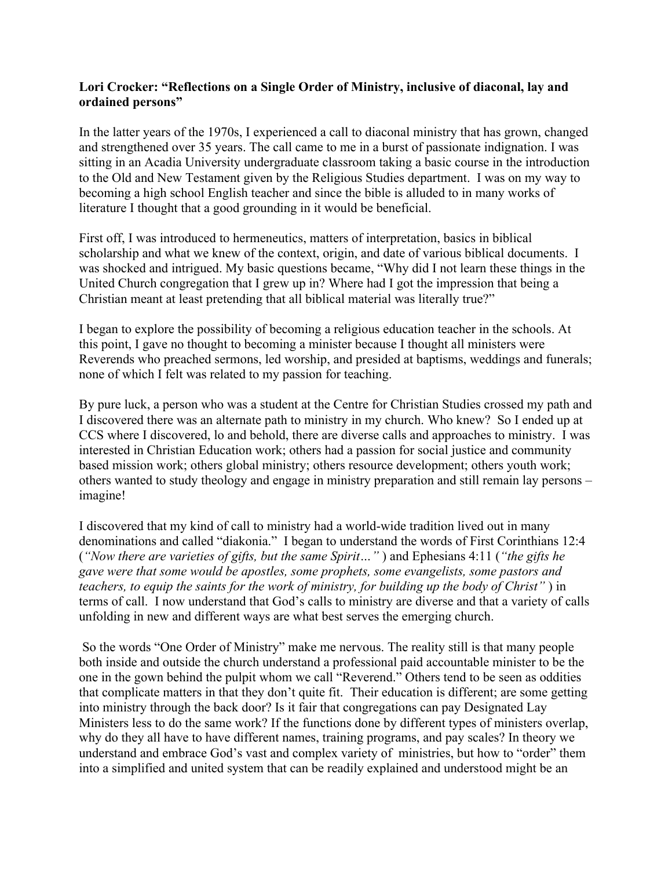## **Lori Crocker: "Reflections on a Single Order of Ministry, inclusive of diaconal, lay and ordained persons"**

In the latter years of the 1970s, I experienced a call to diaconal ministry that has grown, changed and strengthened over 35 years. The call came to me in a burst of passionate indignation. I was sitting in an Acadia University undergraduate classroom taking a basic course in the introduction to the Old and New Testament given by the Religious Studies department. I was on my way to becoming a high school English teacher and since the bible is alluded to in many works of literature I thought that a good grounding in it would be beneficial.

First off, I was introduced to hermeneutics, matters of interpretation, basics in biblical scholarship and what we knew of the context, origin, and date of various biblical documents. I was shocked and intrigued. My basic questions became, "Why did I not learn these things in the United Church congregation that I grew up in? Where had I got the impression that being a Christian meant at least pretending that all biblical material was literally true?"

I began to explore the possibility of becoming a religious education teacher in the schools. At this point, I gave no thought to becoming a minister because I thought all ministers were Reverends who preached sermons, led worship, and presided at baptisms, weddings and funerals; none of which I felt was related to my passion for teaching.

By pure luck, a person who was a student at the Centre for Christian Studies crossed my path and I discovered there was an alternate path to ministry in my church. Who knew? So I ended up at CCS where I discovered, lo and behold, there are diverse calls and approaches to ministry. I was interested in Christian Education work; others had a passion for social justice and community based mission work; others global ministry; others resource development; others youth work; others wanted to study theology and engage in ministry preparation and still remain lay persons – imagine!

I discovered that my kind of call to ministry had a world-wide tradition lived out in many denominations and called "diakonia." I began to understand the words of First Corinthians 12:4 (*"Now there are varieties of gifts, but the same Spirit…"* ) and Ephesians 4:11 (*"the gifts he gave were that some would be apostles, some prophets, some evangelists, some pastors and teachers, to equip the saints for the work of ministry, for building up the body of Christ"* ) in terms of call. I now understand that God's calls to ministry are diverse and that a variety of calls unfolding in new and different ways are what best serves the emerging church.

So the words "One Order of Ministry" make me nervous. The reality still is that many people both inside and outside the church understand a professional paid accountable minister to be the one in the gown behind the pulpit whom we call "Reverend." Others tend to be seen as oddities that complicate matters in that they don't quite fit. Their education is different; are some getting into ministry through the back door? Is it fair that congregations can pay Designated Lay Ministers less to do the same work? If the functions done by different types of ministers overlap, why do they all have to have different names, training programs, and pay scales? In theory we understand and embrace God's vast and complex variety of ministries, but how to "order" them into a simplified and united system that can be readily explained and understood might be an